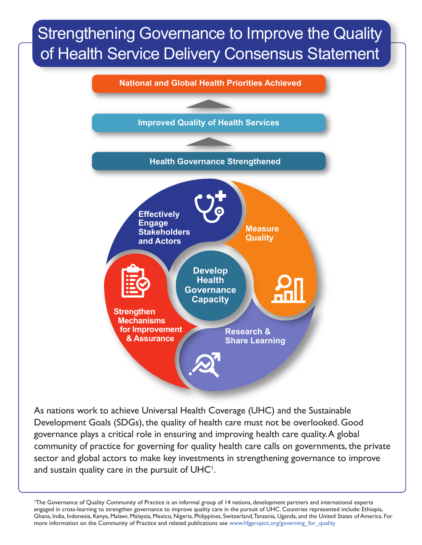## Strengthening Governance to Improve the Quality of Health Service Delivery Consensus Statement



As nations work to achieve Universal Health Coverage (UHC) and the Sustainable Development Goals (SDGs), the quality of health care must not be overlooked. Good governance plays a critical role in ensuring and improving health care quality. A global community of practice for governing for quality health care calls on governments, the private sector and global actors to make key investments in strengthening governance to improve and sustain quality care in the pursuit of  $UHC<sup>1</sup>$ .

1 The Governance of Quality Community of Practice is an informal group of 14 nations, development partners and international experts engaged in cross-learning to strengthen governance to improve quality care in the pursuit of UHC. Countries represented include: Ethiopia, Ghana, India, Indonesia, Kenya, Malawi, Malaysia, Mexico, Nigeria, Philippines, Switzerland, Tanzania, Uganda, and the United States of America. For more information on the Community of Practice and related publications see www.hfgproject.org/governing for quality